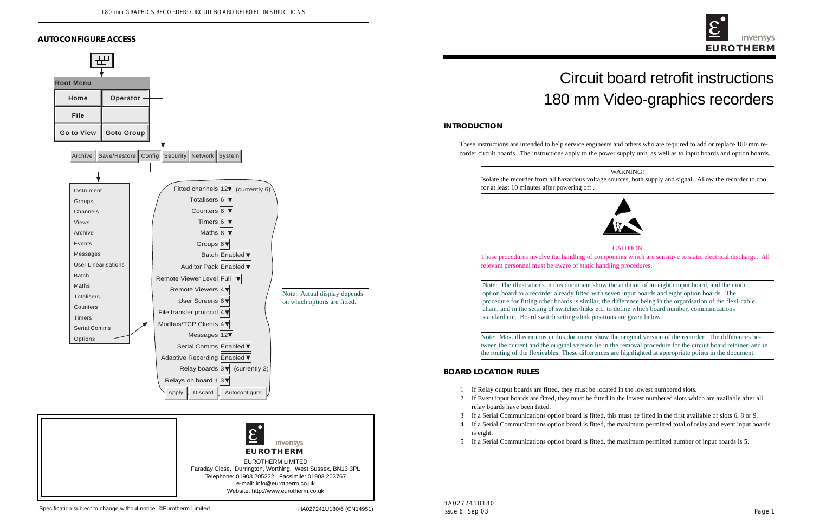# Circuit board retrofit instructions 180 mm Video-graphics recorders

These instructions are intended to help service engineers and others who are required to add or replace 180 mm recorder circuit boards. The instructions apply to the power supply unit, as well as to input boards and option boards.

**CAUTION** These procedures involve the handling of components which are sensitive to static electrical discharge. All

# WARNING!



Note: The illustrations in this document show the addition of an eighth input board, and the ninth option board to a recorder already fitted with seven input boards and eight option boards. The procedure for fitting other boards is similar, the difference being in the organisation of the flexi-cable chain, and in the setting of switches/links etc. to define which board number, communications

Note: Most illustrations in this document show the original version of the recorder. The differences between the current and the original version lie in the removal procedure for the circuit board retainer, and in the routing of the flexicables. These differences are highlighted at appropriate points in the document.

2 If Event input boards are fitted, they must be fitted in the lowest numbered slots which are available after all

3 If a Serial Communications option board is fitted, this must be fitted in the first available of slots 6, 8 or 9. 4 If a Serial Communications option board is fitted, the maximum permitted total of relay and event input boards

5 If a Serial Communications option board is fitted, the maximum permitted number of input boards is 5.





#### **AUTOCONFIGURE ACCESS**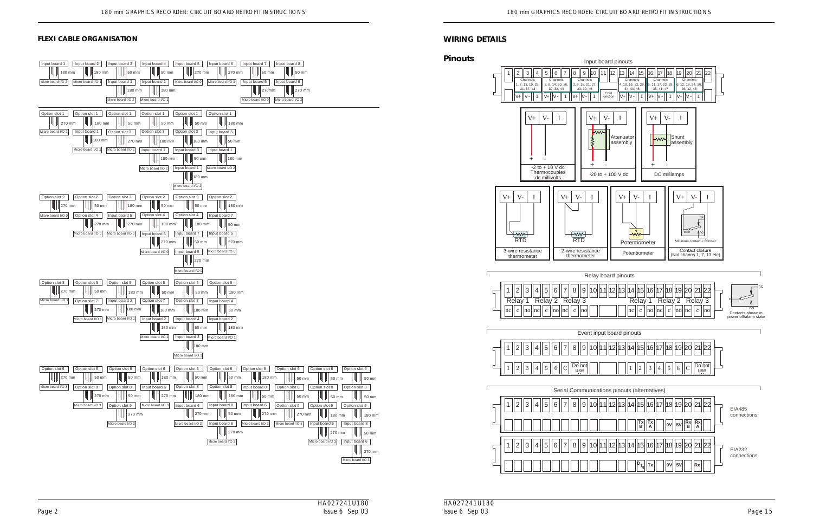HA027241U180 Issue 6 Sep 03 Page 2 Page 15



#### **WIRING DETAILS**



#### **FLEXI CABLE ORGANISATION**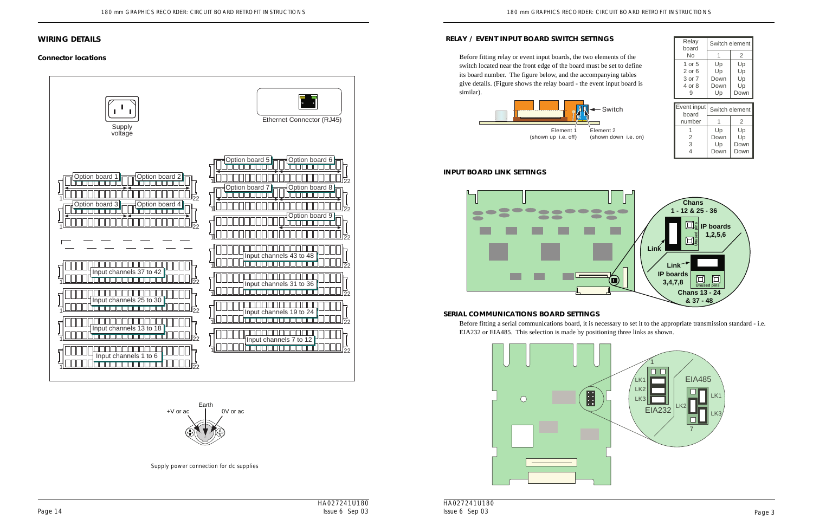HA027241U180 Issue 6 Sep 03





Element 2 (shown down i.e. on)



#### **SERIAL COMMUNICATIONS BOARD SETTINGS**

Before fitting a serial communications board, it is necessary to set it to the appropriate transmission standard - i.e. EIA232 or EIA485. This selection is made by positioning three links as shown.

### **RELAY / EVENT INPUT BOARD SWITCH SETTINGS**

#### $-$  Switch

Before fitting relay or event input boards, the two elements of the switch located near the front edge of the board must be set to define its board number. The figure below, and the accompanying tables give details. (Figure shows the relay board - the event input board is similar).

| Relay<br>board                            | Switch element                 |                              |
|-------------------------------------------|--------------------------------|------------------------------|
| No                                        | 1                              | 2                            |
| 1 or 5<br>2 or 6<br>3 or 7<br>4 or 8<br>9 | Up<br>Up<br>Down<br>Down<br>Up | Up<br>Up<br>Up<br>Up<br>Down |
|                                           |                                |                              |
| Event input                               |                                | Switch element               |
| board<br>number                           |                                | 2                            |

#### **INPUT BOARD LINK SETTINGS**

# **WIRING DETAILS**

### **Connector locations**





Supply power connection for dc supplies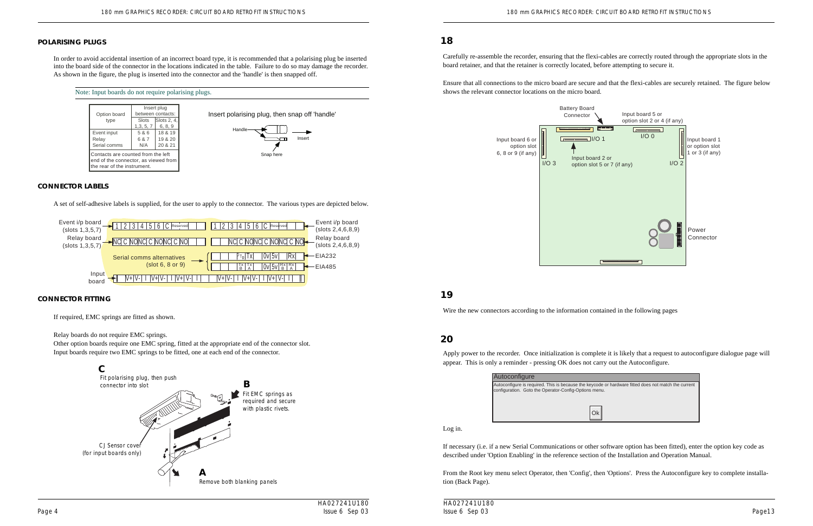HA027241U180 Issue 6 Sep 03

#### **POLARISING PLUGS**

In order to avoid accidental insertion of an incorrect board type, it is recommended that a polarising plug be inserted into the board side of the connector in the locations indicated in the table. Failure to do so may damage the recorder. As shown in the figure, the plug is inserted into the connector and the 'handle' is then snapped off.

#### Note: Input boards do not require polarising plugs.



Insert polarising plug, then snap off 'handle'

| Option board                                                                                              | Insert plug<br>between contacts: |                               |
|-----------------------------------------------------------------------------------------------------------|----------------------------------|-------------------------------|
| type                                                                                                      | Slots<br>1,3,5,7                 | Slots 2, 4,<br>6, 8, 9        |
| Event input<br>Relay<br>Serial comms                                                                      | 5 & 6<br>6 & 7<br>N/A            | 18 & 19<br>19 & 20<br>20 & 21 |
| Contacts are counted from the left<br>end of the connector, as viewed from<br>the rear of the instrument. |                                  |                               |



#### **CONNECTOR LABELS**

A set of self-adhesive labels is supplied, for the user to apply to the connector. The various types are depicted below.

**Immunology** 1/O 1  $I/O$  3 Input board 2 or Input board 6 or option slot 6, 8 or 9 (if any)



#### **CONNECTOR FITTING**

If required, EMC springs are fitted as shown.

Relay boards do not require EMC springs.

Other option boards require one EMC spring, fitted at the appropriate end of the connector slot. Input boards require two EMC springs to be fitted, one at each end of the connector.

Carefully re-assemble the recorder, ensuring that the flexi-cables are correctly routed through the appropriate slots in the board retainer, and that the retainer is correctly located, before attempting to secure it.

Ensure that all connections to the micro board are secure and that the flexi-cables are securely retained. The figure below shows the relevant connector locations on the micro board.

**18**

Wire the new connectors according to the information contained in the following pages

# **19**

# **20**

Apply power to the recorder. Once initialization is complete it is likely that a request to autoconfigure dialogue page will appear. This is only a reminder - pressing OK does not carry out the Autoconfigure.

Battery Board Connector



Autoconfigure



Log in.

If necessary (i.e. if a new Serial Communications or other software option has been fitted), enter the option key code as described under 'Option Enabling' in the reference section of the Installation and Operation Manual.

From the Root key menu select Operator, then 'Config', then 'Options'. Press the Autoconfigure key to complete installation (Back Page).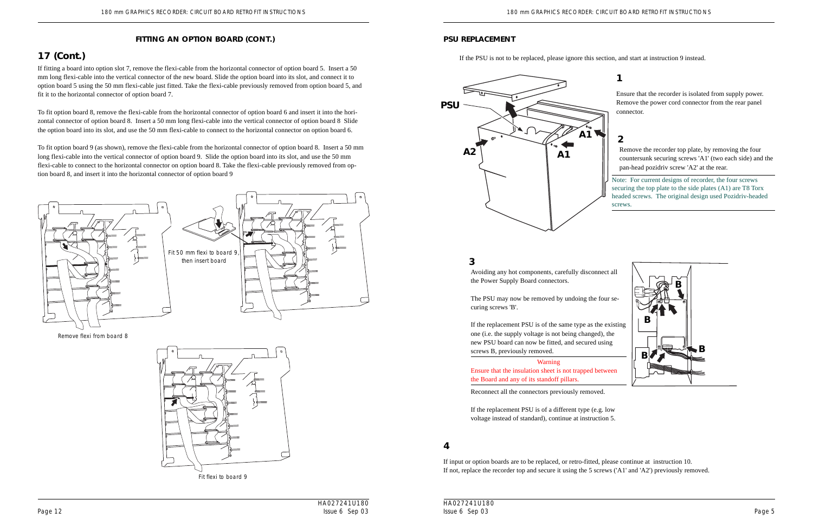### **PSU REPLACEMENT**

If the PSU is not to be replaced, please ignore this section, and start at instruction 9 instead.

Ensure that the recorder is isolated from supply power. Remove the power cord connector from the rear panel connector.

# **1**



Remove the recorder top plate, by removing the four countersunk securing screws 'A1' (two each side) and the pan-head pozidriv screw 'A2' at the rear.

# **2**

Avoiding any hot components, carefully disconnect all the Power Supply Board connectors.

The PSU may now be removed by undoing the four securing screws 'B'.



If the replacement PSU is of the same type as the existing one (i.e. the supply voltage is not being changed), the new PSU board can now be fitted, and secured using screws B, previously removed.

Warning Ensure that the insulation sheet is not trapped between the Board and any of its standoff pillars.

Reconnect all the connectors previously removed.

If the replacement PSU is of a different type (e.g. low voltage instead of standard), continue at instruction 5.

# **3**

If input or option boards are to be replaced, or retro-fitted, please continue at instruction 10. If not, replace the recorder top and secure it using the 5 screws ('A1' and 'A2') previously removed.

### **4**

If fitting a board into option slot 7, remove the flexi-cable from the horizontal connector of option board 5. Insert a 50 mm long flexi-cable into the vertical connector of the new board. Slide the option board into its slot, and connect it to option board 5 using the 50 mm flexi-cable just fitted. Take the flexi-cable previously removed from option board 5, and fit it to the horizontal connector of option board 7.

To fit option board 8, remove the flexi-cable from the horizontal connector of option board 6 and insert it into the horizontal connector of option board 8. Insert a 50 mm long flexi-cable into the vertical connector of option board 8 Slide the option board into its slot, and use the 50 mm flexi-cable to connect to the horizontal connector on option board 6.

To fit option board 9 (as shown), remove the flexi-cable from the horizontal connector of option board 8. Insert a 50 mm long flexi-cable into the vertical connector of option board 9. Slide the option board into its slot, and use the 50 mm flexi-cable to connect to the horizontal connector on option board 8. Take the flexi-cable previously removed from option board 8, and insert it into the horizontal connector of option board 9

### **FITTING AN OPTION BOARD (CONT.)**



Remove flexi from board 8



Fit flexi to board 9

# **17 (Cont.)**

Note: For current designs of recorder, the four screws securing the top plate to the side plates (A1) are T8 Torx headed screws. The original design used Pozidriv-headed screws.



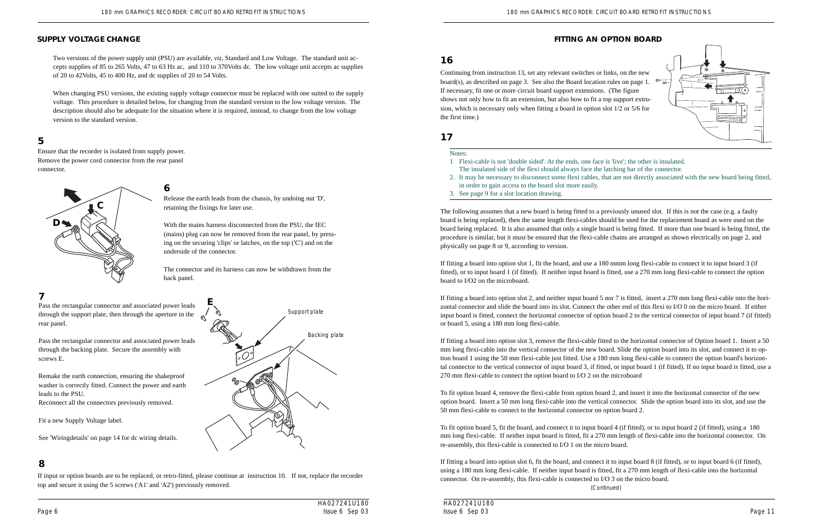Ensure that the recorder is isolated from supply power. Remove the power cord connector from the rear panel connector.

# **5**

# **SUPPLY VOLTAGE CHANGE**

Two versions of the power supply unit (PSU) are available, *viz*, Standard and Low Voltage. The standard unit accepts supplies of 85 to 265 Volts, 47 to 63 Hz ac, and 110 to 370Volts dc. The low voltage unit accepts ac supplies of 20 to 42Volts, 45 to 400 Hz, and dc supplies of 20 to 54 Volts.

When changing PSU versions, the existing supply voltage connector must be replaced with one suited to the supply voltage. This procedure is detailed below, for changing from the standard version to the low voltage version. The description should also be adequate for the situation where it is required, instead, to change from the low voltage version to the standard version.

> Release the earth leads from the chassis, by undoing nut 'D', retaining the fixings for later use. **6**

With the mains harness disconnected from the PSU, the IEC (mains) plug can now be removed from the rear panel, by pressing on the securing 'clips' or latches, on the top ('C') and on the underside of the connector.

The connector and its harness can now be withdrawn from the back panel.

Pass the rectangular connector and associated power leads through the support plate, then through the aperture in the rear panel.

Pass the rectangular connector and associated power leads through the backing plate. Secure the assembly with screws E.

Remake the earth connection, ensuring the shakeproof washer is correctly fitted. Connect the power and earth leads to the PSU.



Reconnect all the connectors previously removed.

Fit a new Supply Voltage label.

See 'Wiringdetails' on page 14 for dc wiring details.

### **7**

If input or option boards are to be replaced, or retro-fitted, please continue at instruction 10. If not, replace the recorder top and secure it using the 5 screws ('A1' and 'A2') previously removed.

# **8**

Support plate

Backing plate

**E**



Continuing from instruction 13, set any relevant switches or links, on the new board(s), as described on page 3. See also the Board location rules on page 1.  $\sigma_{\overline{G}}$ If necessary, fit one or more circuit board support extensions. (The figure shows not only how to fit an extension, but also how to fit a top support extrusion, which is necessary only when fitting a board in option slot 1/2 or 5/6 for the first time.)

### **16**

# **17**

Notes:

- 1 Flexi-cable is not 'double sided'. At the ends, one face is 'live'; the other is insulated. The insulated side of the flexi should always face the latching bar of the connector.
- in order to gain access to the board slot more easily.
- 3. See page 9 for a slot location drawing.

2. It may be necessary to disconnect some flexi cables, that are not directly associated with the new board being fitted,

The following assumes that a new board is being fitted to a previously unused slot. If this is not the case (e.g. a faulty board is being replaced), then the same length flexi-cables should be used for the replacement board as were used on the board being replaced. It is also assumed that only a single board is being fitted. If more than one board is being fitted, the procedure is similar, but it must be ensured that the flexi-cable chains are arranged as shown electrically on page 2, and physically on page 8 or 9, according to version.

If fitting a board into option slot 1, fit the board, and use a 180 mmm long flexi-cable to connect it to input board 3 (if fitted), or to input board 1 (if fitted). If neither input board is fitted, use a 270 mm long flexi-cable to connect the option board to I/O2 on the microboard.

If fitting a board into option slot 2, and neither input board 5 nor 7 is fitted, insert a 270 mm long flexi-cable into the horizontal connector and slide the board into its slot. Connect the other end of this flexi to I/O 0 on the micro board. If either input board is fitted, connect the horizontal connector of option board 2 to the vertical connector of input board 7 (if fitted) or board 5, using a 180 mm long flexi-cable.

If fitting a board into option slot 3, remove the flexi-cable fitted to the horizontal connector of Option board 1. Insert a 50 mm long flexi-cable into the vertical connector of the new board. Slide the option board into its slot, and connect it to option board 1 using the 50 mm flexi-cable just fitted. Use a 180 mm long flexi-cable to connect the option board's horizontal connector to the vertical connector of input board 3, if fitted, or input board 1 (if fitted). If no input board is fitted, use a 270 mm flexi-cable to connect the option board to I/O 2 on the microboard

To fit option board 4, remove the flexi-cable from option board 2, and insert it into the horizontal connector of the new option board. Insert a 50 mm long flexi-cable into the vertical connector. Slide the option board into its slot, and use the 50 mm flexi-cable to connect to the horizontal connector on option board 2.

To fit option board 5, fit the board, and connect it to input board 4 (if fitted), or to input board 2 (if fitted), using a 180 mm long flexi-cable. If neither input board is fitted, fit a 270 mm length of flexi-cable into the horizontal connector. On re-assembly, this flexi-cable is connected to I/O 1 on the micro board.

If fitting a board into option slot 6, fit the board, and connect it to input board 8 (if fitted), or to input board 6 (if fitted), using a 180 mm long flexi-cable. If neither input board is fitted, fit a 270 mm length of flexi-cable into the horizontal connector. On re-assembly, this flexi-cable is connected to I/O 3 on the micro board. (Continued)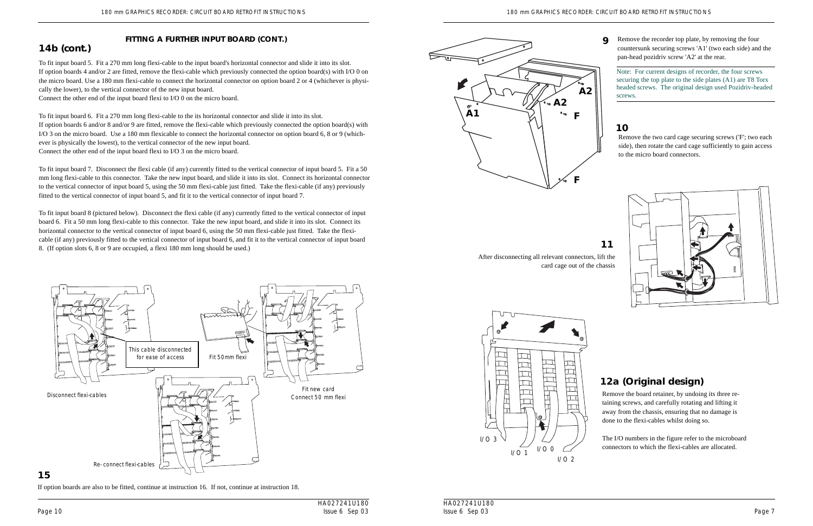After disconnecting all relevant connectors, lift the card cage out of the chassis



**11**

Remove the board retainer, by undoing its three retaining screws, and carefully rotating and lifting it away from the chassis, ensuring that no damage is done to the flexi-cables whilst doing so.

The I/O numbers in the figure refer to the microboard connectors to which the flexi-cables are allocated.

# **12a (Original design)**





# **10**

Remove the two card cage securing screws ('F'; two each side), then rotate the card cage sufficiently to gain access to the micro board connectors.

If option boards are also to be fitted, continue at instruction 16. If not, continue at instruction 18.

# **15**

# **FITTING A FURTHER INPUT BOARD (CONT.)**

To fit input board 5. Fit a 270 mm long flexi-cable to the input board's horizontal connector and slide it into its slot. If option boards 4 and/or 2 are fitted, remove the flexi-cable which previously connected the option board(s) with I/O 0 on the micro board. Use a 180 mm flexi-cable to connect the horizontal connector on option board 2 or 4 (whichever is physically the lower), to the vertical connector of the new input board.

Connect the other end of the input board flexi to I/O 0 on the micro board.

To fit input board 6. Fit a 270 mm long flexi-cable to the its horizontal connector and slide it into its slot. If option boards 6 and/or 8 and/or 9 are fitted, remove the flexi-cable which previously connected the option board(s) with I/O 3 on the micro board. Use a 180 mm flexicable to connect the horizontal connector on option board 6, 8 or 9 (whichever is physically the lowest), to the vertical connector of the new input board. Connect the other end of the input board flexi to I/O 3 on the micro board.

To fit input board 7. Disconnect the flexi cable (if any) currently fitted to the vertical connector of input board 5. Fit a 50 mm long flexi-cable to this connector. Take the new input board, and slide it into its slot. Connect its horizontal connector to the vertical connector of input board 5, using the 50 mm flexi-cable just fitted. Take the flexi-cable (if any) previously fitted to the vertical connector of input board 5, and fit it to the vertical connector of input board 7.

To fit input board 8 (pictured below). Disconnect the flexi cable (if any) currently fitted to the vertical connector of input board 6. Fit a 50 mm long flexi-cable to this connector. Take the new input board, and slide it into its slot. Connect its horizontal connector to the vertical connector of input board 6, using the 50 mm flexi-cable just fitted. Take the flexicable (if any) previously fitted to the vertical connector of input board 6, and fit it to the vertical connector of input board 8. (If option slots 6, 8 or 9 are occupied, a flexi 180 mm long should be used.)

**14b (cont.)**



Remove the recorder top plate, by removing the four countersunk securing screws 'A1' (two each side) and the pan-head pozidriv screw 'A2' at the rear.

Note: For current designs of recorder, the four screws securing the top plate to the side plates (A1) are T8 Torx headed screws. The original design used Pozidriv-headed screws.